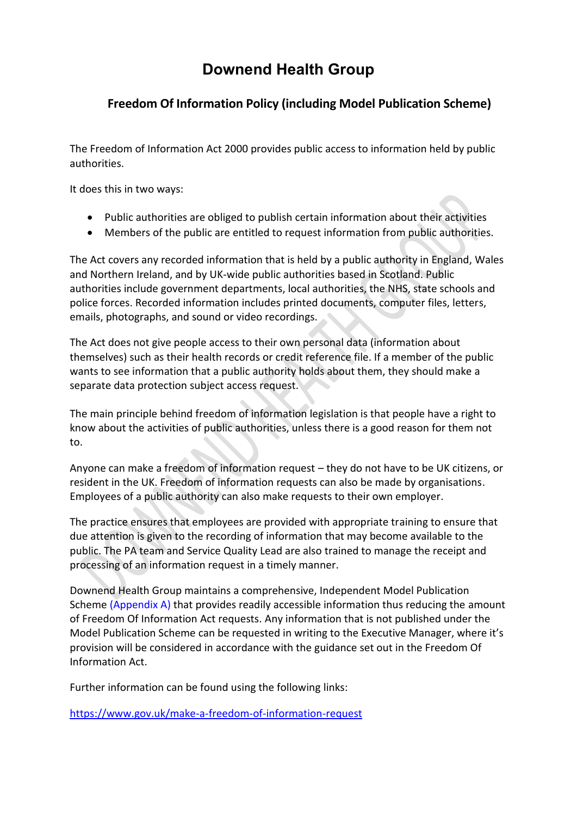# **Downend Health Group**

# **Freedom Of Information Policy (including Model Publication Scheme)**

The Freedom of Information Act 2000 provides public access to information held by public authorities.

It does this in two ways:

- Public authorities are obliged to publish certain information about their activities
- Members of the public are entitled to request information from public authorities.

The Act covers any recorded information that is held by a public authority in England, Wales and Northern Ireland, and by UK-wide public authorities based in Scotland. Public authorities include government departments, local authorities, the NHS, state schools and police forces. Recorded information includes printed documents, computer files, letters, emails, photographs, and sound or video recordings.

The Act does not give people access to their own personal data (information about themselves) such as their health records or credit reference file. If a member of the public wants to see information that a public authority holds about them, they should make a separate data protection subject access request.

The main principle behind freedom of information legislation is that people have a right to know about the activities of public authorities, unless there is a good reason for them not to.

Anyone can make a freedom of information request – they do not have to be UK citizens, or resident in the UK. Freedom of information requests can also be made by organisations. Employees of a public authority can also make requests to their own employer.

The practice ensures that employees are provided with appropriate training to ensure that due attention is given to the recording of information that may become available to the public. The PA team and Service Quality Lead are also trained to manage the receipt and processing of an information request in a timely manner.

Downend Health Group maintains a comprehensive, Independent Model Publication Scheme (Appendix A) that provides readily accessible information thus reducing the amount of Freedom Of Information Act requests. Any information that is not published under the Model Publication Scheme can be requested in writing to the Executive Manager, where it's provision will be considered in accordance with the guidance set out in the Freedom Of Information Act.

Further information can be found using the following links:

<https://www.gov.uk/make-a-freedom-of-information-request>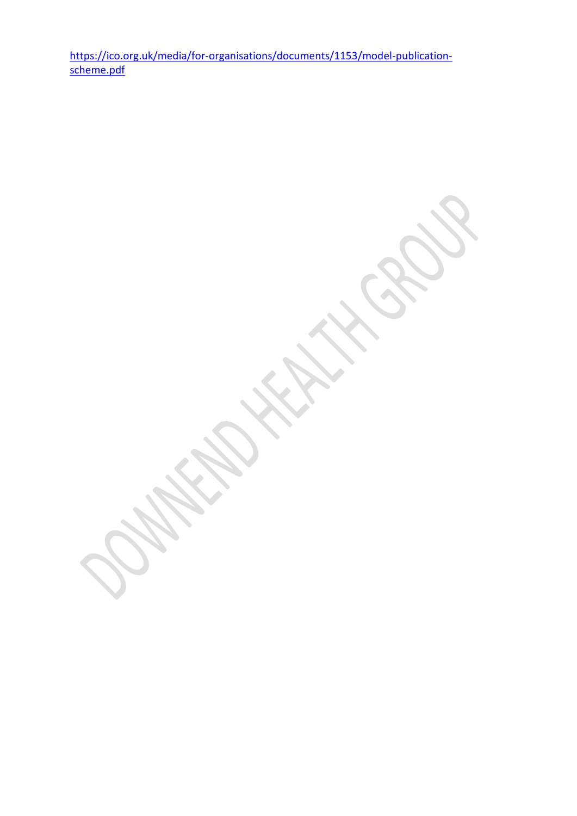[https://ico.org.uk/media/for-organisations/documents/1153/model-publication](https://ico.org.uk/media/for-organisations/documents/1153/model-publication-scheme.pdf)[scheme.pdf](https://ico.org.uk/media/for-organisations/documents/1153/model-publication-scheme.pdf)

 $\mathcal{L}_{\mathcal{S}}$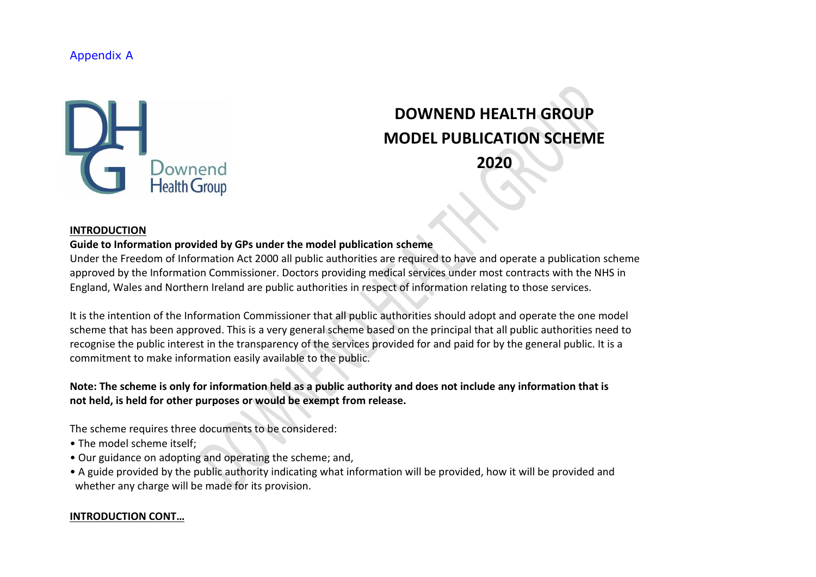# Appendix A



# **DOWNEND HEALTH GROUP MODEL PUBLICATION SCHEME 2020**

#### **INTRODUCTION**

#### **Guide to Information provided by GPs under the model publication scheme**

Under the Freedom of Information Act 2000 all public authorities are required to have and operate a publication scheme approved by the Information Commissioner. Doctors providing medical services under most contracts with the NHS in England, Wales and Northern Ireland are public authorities in respect of information relating to those services.

It is the intention of the Information Commissioner that all public authorities should adopt and operate the one model scheme that has been approved. This is a very general scheme based on the principal that all public authorities need to recognise the public interest in the transparency of the services provided for and paid for by the general public. It is a commitment to make information easily available to the public.

# **Note: The scheme is only for information held as a public authority and does not include any information that is not held, is held for other purposes or would be exempt from release.**

The scheme requires three documents to be considered:

- The model scheme itself;
- Our guidance on adopting and operating the scheme; and,
- A guide provided by the public authority indicating what information will be provided, how it will be provided and whether any charge will be made for its provision.

#### **INTRODUCTION CONT…**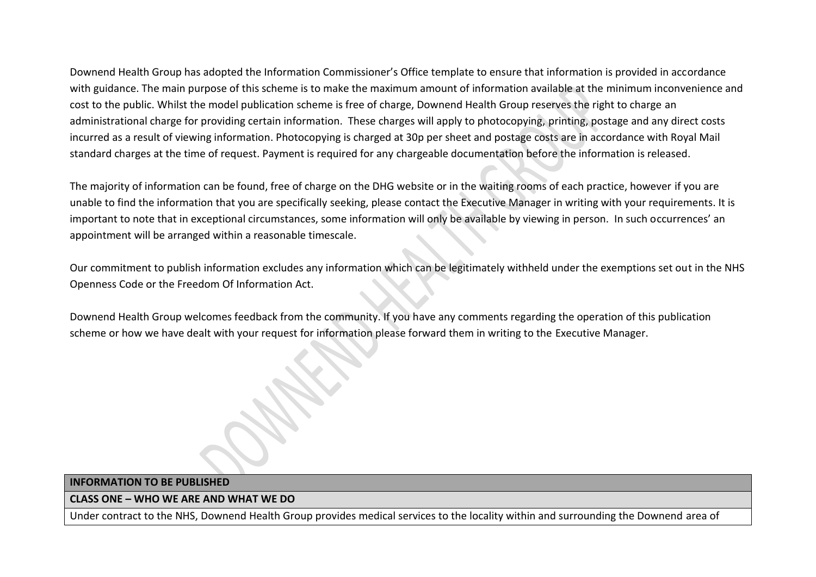Downend Health Group has adopted the Information Commissioner's Office template to ensure that information is provided in accordance with guidance. The main purpose of this scheme is to make the maximum amount of information available at the minimum inconvenience and cost to the public. Whilst the model publication scheme is free of charge, Downend Health Group reserves the right to charge an administrational charge for providing certain information. These charges will apply to photocopying, printing, postage and any direct costs incurred as a result of viewing information. Photocopying is charged at 30p per sheet and postage costs are in accordance with Royal Mail standard charges at the time of request. Payment is required for any chargeable documentation before the information is released.

The majority of information can be found, free of charge on the DHG website or in the waiting rooms of each practice, however if you are unable to find the information that you are specifically seeking, please contact the Executive Manager in writing with your requirements. It is important to note that in exceptional circumstances, some information will only be available by viewing in person. In such occurrences' an appointment will be arranged within a reasonable timescale.

Our commitment to publish information excludes any information which can be legitimately withheld under the exemptions set out in the NHS Openness Code or the Freedom Of Information Act.

Downend Health Group welcomes feedback from the community. If you have any comments regarding the operation of this publication scheme or how we have dealt with your request for information please forward them in writing to the Executive Manager.

#### **INFORMATION TO BE PUBLISHED**

#### **CLASS ONE – WHO WE ARE AND WHAT WE DO**

Under contract to the NHS, Downend Health Group provides medical services to the locality within and surrounding the Downend area of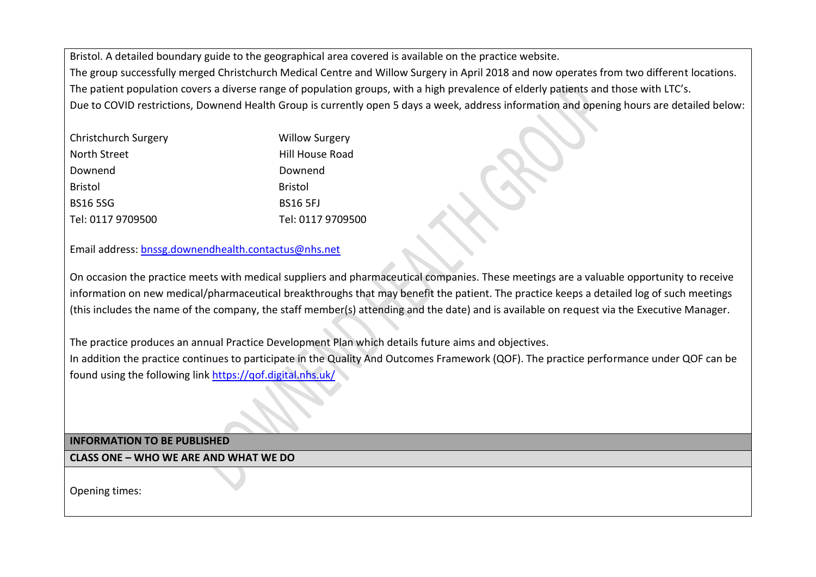Bristol. A detailed boundary guide to the geographical area covered is available on the practice website. The group successfully merged Christchurch Medical Centre and Willow Surgery in April 2018 and now operates from two different locations. The patient population covers a diverse range of population groups, with a high prevalence of elderly patients and those with LTC's. Due to COVID restrictions, Downend Health Group is currently open 5 days a week, address information and opening hours are detailed below:

| <b>Christchurch Surgery</b> | <b>Willow Surgery</b> |
|-----------------------------|-----------------------|
| North Street                | Hill House Road       |
| Downend                     | Downend               |
| <b>Bristol</b>              | <b>Bristol</b>        |
| <b>BS165SG</b>              | <b>BS16 5FJ</b>       |
| Tel: 0117 9709500           | Tel: 0117 9709500     |

# Email address: [bnssg.downendhealth.contactus@nhs.net](mailto:bnssg.downendhealth.contactus@nhs.net)

On occasion the practice meets with medical suppliers and pharmaceutical companies. These meetings are a valuable opportunity to receive information on new medical/pharmaceutical breakthroughs that may benefit the patient. The practice keeps a detailed log of such meetings (this includes the name of the company, the staff member(s) attending and the date) and is available on request via the Executive Manager.

The practice produces an annual Practice Development Plan which details future aims and objectives. In addition the practice continues to participate in the Quality And Outcomes Framework (QOF). The practice performance under QOF can be found using the following link <https://qof.digital.nhs.uk/>

**INFORMATION TO BE PUBLISHED**

**CLASS ONE – WHO WE ARE AND WHAT WE DO**

Opening times: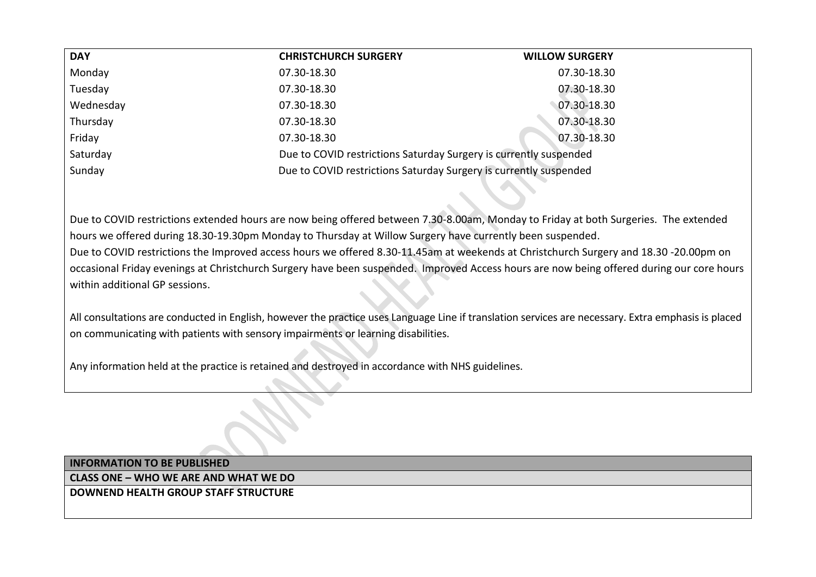| <b>DAY</b> | <b>CHRISTCHURCH SURGERY</b>                                       | <b>WILLOW SURGERY</b> |
|------------|-------------------------------------------------------------------|-----------------------|
| Monday     | 07.30-18.30                                                       | 07.30-18.30           |
| Tuesday    | 07.30-18.30                                                       | 07.30-18.30           |
| Wednesday  | 07.30-18.30                                                       | 07.30-18.30           |
| Thursday   | 07.30-18.30                                                       | 07.30-18.30           |
| Friday     | 07.30-18.30                                                       | 07.30-18.30           |
| Saturday   | Due to COVID restrictions Saturday Surgery is currently suspended |                       |
| Sunday     | Due to COVID restrictions Saturday Surgery is currently suspended |                       |

Due to COVID restrictions extended hours are now being offered between 7.30-8.00am, Monday to Friday at both Surgeries. The extended hours we offered during 18.30-19.30pm Monday to Thursday at Willow Surgery have currently been suspended. Due to COVID restrictions the Improved access hours we offered 8.30-11.45am at weekends at Christchurch Surgery and 18.30 -20.00pm on occasional Friday evenings at Christchurch Surgery have been suspended. Improved Access hours are now being offered during our core hours within additional GP sessions.

All consultations are conducted in English, however the practice uses Language Line if translation services are necessary. Extra emphasis is placed on communicating with patients with sensory impairments or learning disabilities.

Any information held at the practice is retained and destroyed in accordance with NHS guidelines.

**INFORMATION TO BE PUBLISHED CLASS ONE – WHO WE ARE AND WHAT WE DO DOWNEND HEALTH GROUP STAFF STRUCTURE**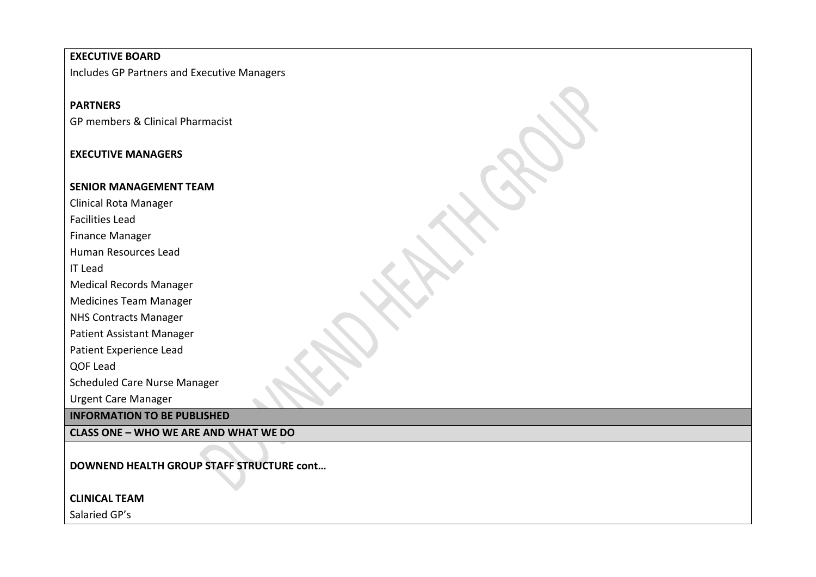#### **EXECUTIVE BOARD**

Includes GP Partners and Executive Managers

# **PARTNERS**

GP members & Clinical Pharmacist

# **EXECUTIVE MANAGERS**

#### **SENIOR MANAGEMENT TEAM**

Clinical Rota Manager

Facilities Lead

Finance Manager

Human Resources Lead

IT Lead

Medical Records Manager

Medicines Team Manager

NHS Contracts Manager

Patient Assistant Manager

Patient Experience Lead

QOF Lead

Scheduled Care Nurse Manager

Urgent Care Manager

#### **INFORMATION TO BE PUBLISHED**

**CLASS ONE – WHO WE ARE AND WHAT WE DO**

**DOWNEND HEALTH GROUP STAFF STRUCTURE cont…** 

**CLINICAL TEAM**

Salaried GP's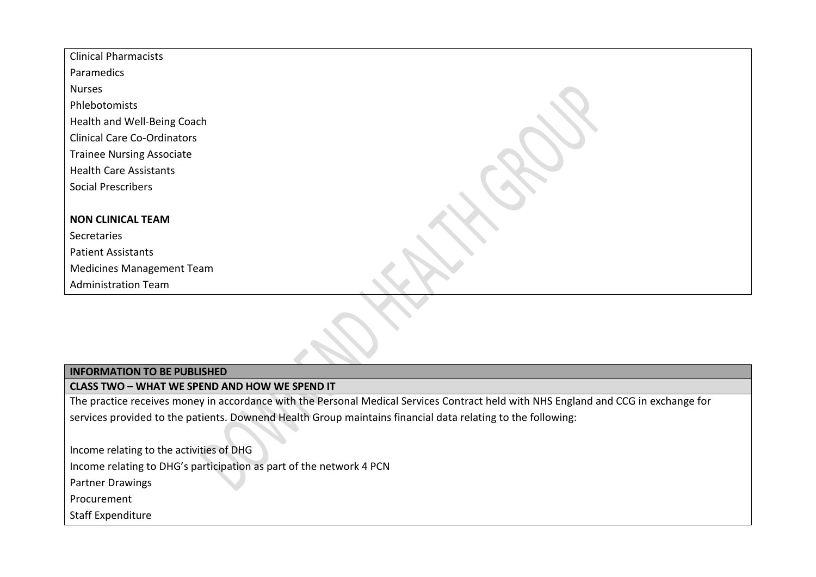| <b>Clinical Pharmacists</b>        |  |
|------------------------------------|--|
| Paramedics                         |  |
| <b>Nurses</b>                      |  |
| Phlebotomists                      |  |
| Health and Well-Being Coach        |  |
| <b>Clinical Care Co-Ordinators</b> |  |
| <b>Trainee Nursing Associate</b>   |  |
| <b>Health Care Assistants</b>      |  |
| <b>Social Prescribers</b>          |  |
|                                    |  |
| <b>NON CLINICAL TEAM</b>           |  |
| Secretaries                        |  |
| <b>Patient Assistants</b>          |  |
| <b>Medicines Management Team</b>   |  |
| <b>Administration Team</b>         |  |

# **INFORMATION TO BE PUBLISHED**

**CLASS TWO – WHAT WE SPEND AND HOW WE SPEND IT**

The practice receives money in accordance with the Personal Medical Services Contract held with NHS England and CCG in exchange for services provided to the patients. Downend Health Group maintains financial data relating to the following:

Income relating to the activities of DHG

Income relating to DHG's participation as part of the network 4 PCN

Partner Drawings

Procurement

Staff Expenditure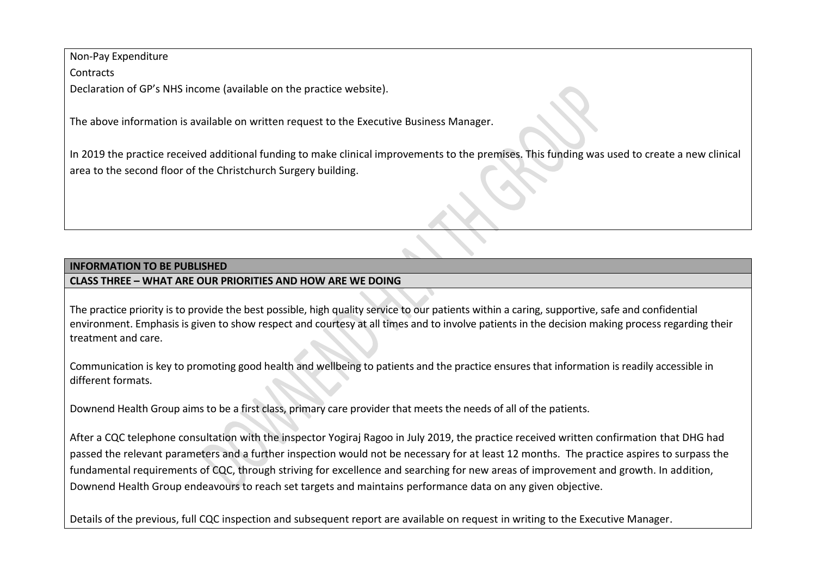Non-Pay Expenditure

**Contracts** 

Declaration of GP's NHS income (available on the practice website).

The above information is available on written request to the Executive Business Manager.

In 2019 the practice received additional funding to make clinical improvements to the premises. This funding was used to create a new clinical area to the second floor of the Christchurch Surgery building.

# **INFORMATION TO BE PUBLISHED**

# **CLASS THREE – WHAT ARE OUR PRIORITIES AND HOW ARE WE DOING**

The practice priority is to provide the best possible, high quality service to our patients within a caring, supportive, safe and confidential environment. Emphasis is given to show respect and courtesy at all times and to involve patients in the decision making process regarding their treatment and care.

Communication is key to promoting good health and wellbeing to patients and the practice ensures that information is readily accessible in different formats.

Downend Health Group aims to be a first class, primary care provider that meets the needs of all of the patients.

After a CQC telephone consultation with the inspector Yogiraj Ragoo in July 2019, the practice received written confirmation that DHG had passed the relevant parameters and a further inspection would not be necessary for at least 12 months. The practice aspires to surpass the fundamental requirements of CQC, through striving for excellence and searching for new areas of improvement and growth. In addition, Downend Health Group endeavours to reach set targets and maintains performance data on any given objective.

Details of the previous, full CQC inspection and subsequent report are available on request in writing to the Executive Manager.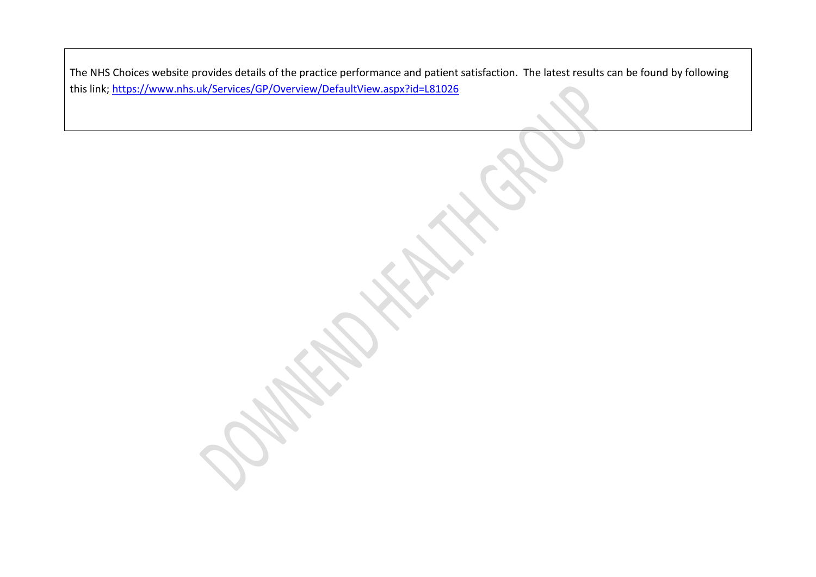The NHS Choices website provides details of the practice performance and patient satisfaction. The latest results can be found by following this link;<https://www.nhs.uk/Services/GP/Overview/DefaultView.aspx?id=L81026>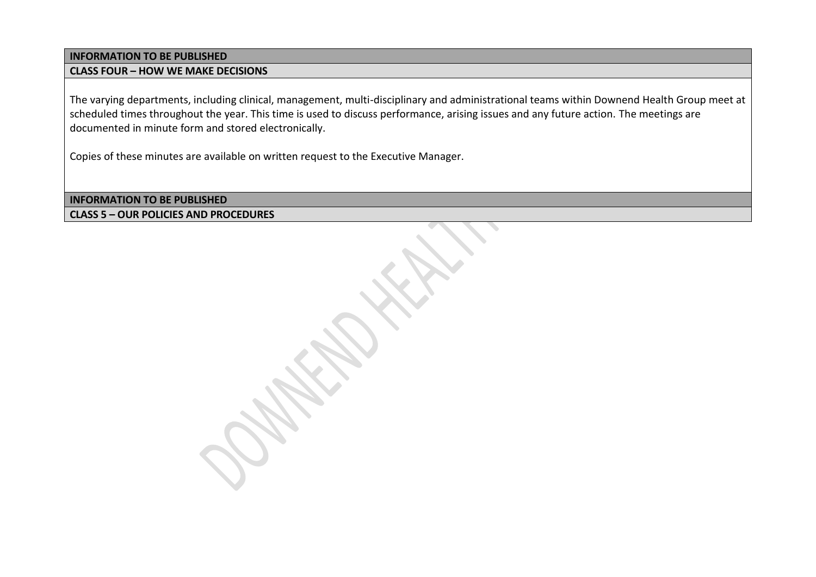# **INFORMATION TO BE PUBLISHED**

#### **CLASS FOUR – HOW WE MAKE DECISIONS**

The varying departments, including clinical, management, multi-disciplinary and administrational teams within Downend Health Group meet at scheduled times throughout the year. This time is used to discuss performance, arising issues and any future action. The meetings are documented in minute form and stored electronically.

Copies of these minutes are available on written request to the Executive Manager.

**INFORMATION TO BE PUBLISHED CLASS 5 – OUR POLICIES AND PROCEDURES**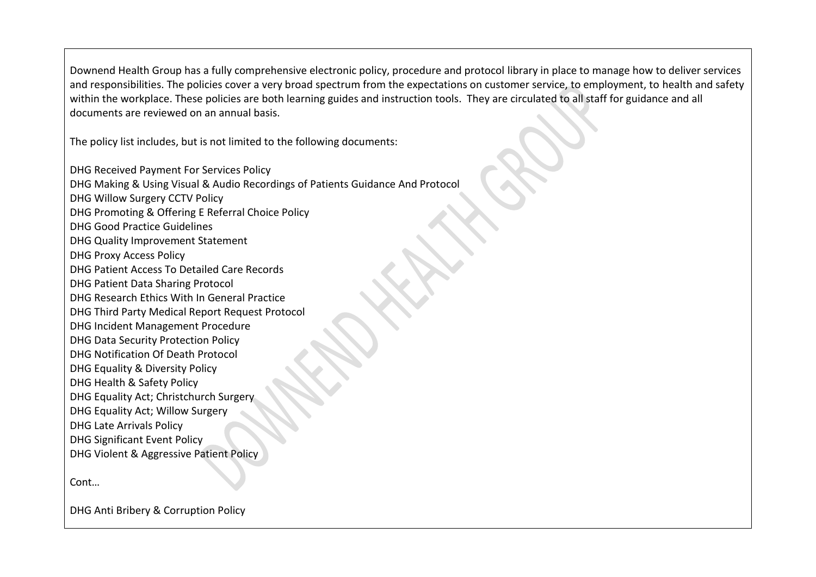Downend Health Group has a fully comprehensive electronic policy, procedure and protocol library in place to manage how to deliver services and responsibilities. The policies cover a very broad spectrum from the expectations on customer service, to employment, to health and safety within the workplace. These policies are both learning guides and instruction tools. They are circulated to all staff for guidance and all documents are reviewed on an annual basis.

The policy list includes, but is not limited to the following documents:

DHG Received Payment For Services Policy DHG Making & Using Visual & Audio Recordings of Patients Guidance And Protocol DHG Willow Surgery CCTV Policy DHG Promoting & Offering E Referral Choice Policy DHG Good Practice Guidelines DHG Quality Improvement Statement DHG Proxy Access Policy DHG Patient Access To Detailed Care Records DHG Patient Data Sharing Protocol DHG Research Ethics With In General Practice DHG Third Party Medical Report Request Protocol DHG Incident Management Procedure DHG Data Security Protection Policy DHG Notification Of Death Protocol DHG Equality & Diversity Policy DHG Health & Safety Policy DHG Equality Act; Christchurch Surgery DHG Equality Act; Willow Surgery DHG Late Arrivals Policy DHG Significant Event Policy DHG Violent & Aggressive Patient Policy

Cont…

DHG Anti Bribery & Corruption Policy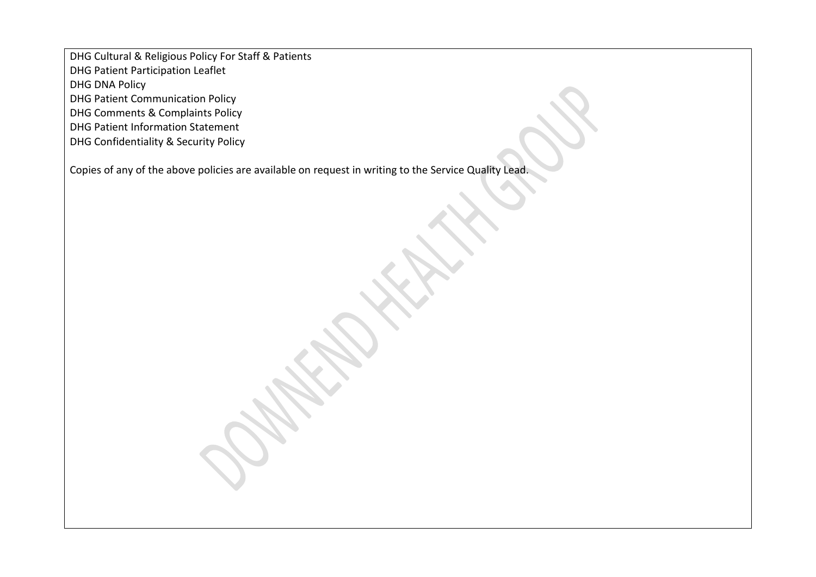DHG Cultural & Religious Policy For Staff & Patients

DHG Patient Participation Leaflet

DHG DNA Policy

DHG Patient Communication Policy

DHG Comments & Complaints Policy

DHG Patient Information Statement

DHG Confidentiality & Security Policy

Copies of any of the above policies are available on request in writing to the Service Quality Lead.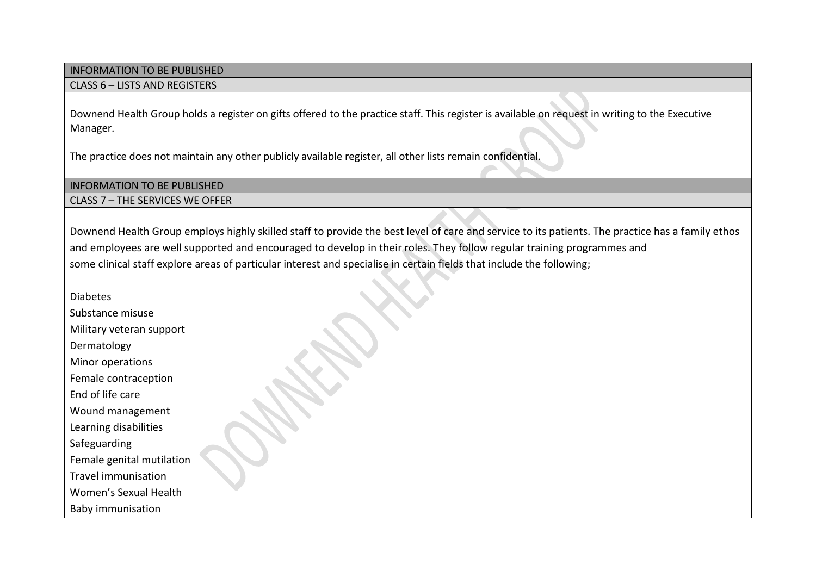# INFORMATION TO BE PUBLISHED

#### CLASS 6 – LISTS AND REGISTERS

Downend Health Group holds a register on gifts offered to the practice staff. This register is available on request in writing to the Executive Manager.

The practice does not maintain any other publicly available register, all other lists remain confidential.

#### INFORMATION TO BE PUBLISHED

CLASS 7 – THE SERVICES WE OFFER

Downend Health Group employs highly skilled staff to provide the best level of care and service to its patients. The practice has a family ethos and employees are well supported and encouraged to develop in their roles. They follow regular training programmes and some clinical staff explore areas of particular interest and specialise in certain fields that include the following;

Diabetes

Substance misuse

Military veteran support

Dermatology

Minor operations

Female contraception

End of life care

Wound management

Learning disabilities

Safeguarding

Female genital mutilation

Travel immunisation

Women's Sexual Health

Baby immunisation